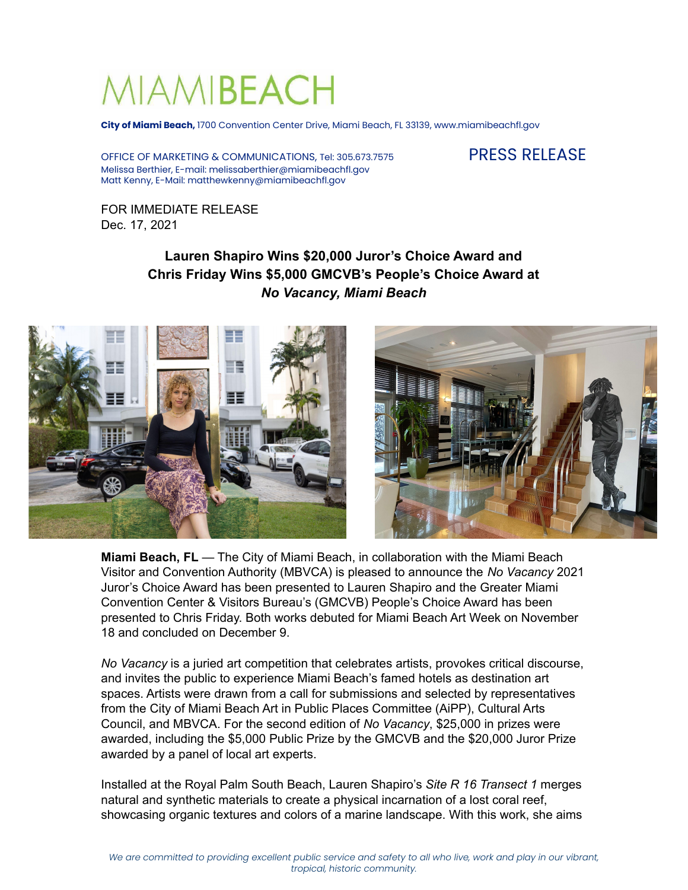# MIAMIBEACH

**City of Miami Beach,** 1700 Convention Center Drive, Miami Beach, FL 33139, www.miamibeachfl.gov

OFFICE OF MARKETING & COMMUNICATIONS, Tel: 305.673.7575 PRESS RELEASE Melissa Berthier, E-mail: melissaberthier@miamibeachfl.gov Matt Kenny, E-Mail: matthewkenny@miamibeachfl.gov

FOR IMMEDIATE RELEASE Dec. 17, 2021

# **Lauren Shapiro Wins \$20,000 Juror's Choice Award and Chris Friday Wins \$5,000 GMCVB's People's Choice Award at** *No Vacancy, Miami Beach*



**Miami Beach, FL** — The City of Miami Beach, in collaboration with the Miami Beach Visitor and Convention Authority (MBVCA) is pleased to announce the *No Vacancy* 2021 Juror's Choice Award has been presented to Lauren Shapiro and the Greater Miami Convention Center & Visitors Bureau's (GMCVB) People's Choice Award has been presented to Chris Friday. Both works debuted for Miami Beach Art Week on November 18 and concluded on December 9.

*No Vacancy* is a juried art competition that celebrates artists, provokes critical discourse, and invites the public to experience Miami Beach's famed hotels as destination art spaces. Artists were drawn from a call for submissions and selected by representatives from the City of Miami Beach Art in Public Places Committee (AiPP), Cultural Arts Council, and MBVCA. For the second edition of *No Vacancy*, \$25,000 in prizes were awarded, including the \$5,000 Public Prize by the GMCVB and the \$20,000 Juror Prize awarded by a panel of local art experts.

Installed at the Royal Palm South Beach, Lauren Shapiro's *Site R 16 Transect 1* merges natural and synthetic materials to create a physical incarnation of a lost coral reef, showcasing organic textures and colors of a marine landscape. With this work, she aims